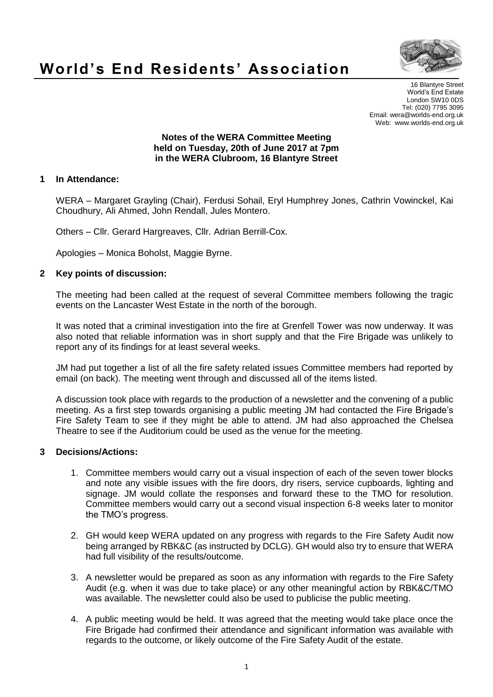

# **World's End Residents' Association**

16 Blantyre Street World's End Estate London SW10 0DS Tel: (020) 7795 3095 Email: wera@worlds-end.org.uk Web: www.worlds-end.org.uk

#### **Notes of the WERA Committee Meeting held on Tuesday, 20th of June 2017 at 7pm in the WERA Clubroom, 16 Blantyre Street**

### **1 In Attendance:**

WERA – Margaret Grayling (Chair), Ferdusi Sohail, Eryl Humphrey Jones, Cathrin Vowinckel, Kai Choudhury, Ali Ahmed, John Rendall, Jules Montero.

Others – Cllr. Gerard Hargreaves, Cllr. Adrian Berrill-Cox.

Apologies – Monica Boholst, Maggie Byrne.

## **2 Key points of discussion:**

The meeting had been called at the request of several Committee members following the tragic events on the Lancaster West Estate in the north of the borough.

It was noted that a criminal investigation into the fire at Grenfell Tower was now underway. It was also noted that reliable information was in short supply and that the Fire Brigade was unlikely to report any of its findings for at least several weeks.

JM had put together a list of all the fire safety related issues Committee members had reported by email (on back). The meeting went through and discussed all of the items listed.

A discussion took place with regards to the production of a newsletter and the convening of a public meeting. As a first step towards organising a public meeting JM had contacted the Fire Brigade's Fire Safety Team to see if they might be able to attend. JM had also approached the Chelsea Theatre to see if the Auditorium could be used as the venue for the meeting.

### **3 Decisions/Actions:**

- 1. Committee members would carry out a visual inspection of each of the seven tower blocks and note any visible issues with the fire doors, dry risers, service cupboards, lighting and signage. JM would collate the responses and forward these to the TMO for resolution. Committee members would carry out a second visual inspection 6-8 weeks later to monitor the TMO's progress.
- 2. GH would keep WERA updated on any progress with regards to the Fire Safety Audit now being arranged by RBK&C (as instructed by DCLG). GH would also try to ensure that WERA had full visibility of the results/outcome.
- 3. A newsletter would be prepared as soon as any information with regards to the Fire Safety Audit (e.g. when it was due to take place) or any other meaningful action by RBK&C/TMO was available. The newsletter could also be used to publicise the public meeting.
- 4. A public meeting would be held. It was agreed that the meeting would take place once the Fire Brigade had confirmed their attendance and significant information was available with regards to the outcome, or likely outcome of the Fire Safety Audit of the estate.